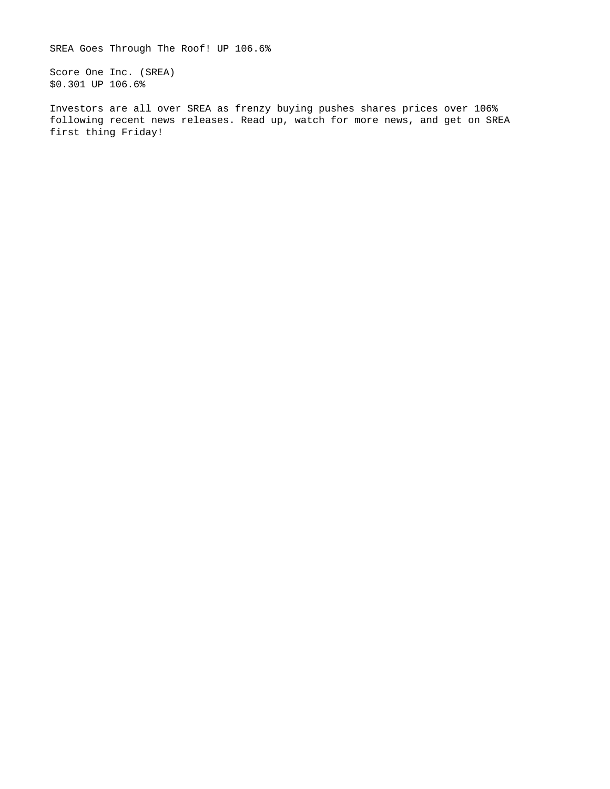SREA Goes Through The Roof! UP 106.6%

Score One Inc. (SREA) \$0.301 UP 106.6%

Investors are all over SREA as frenzy buying pushes shares prices over 106% following recent news releases. Read up, watch for more news, and get on SREA first thing Friday!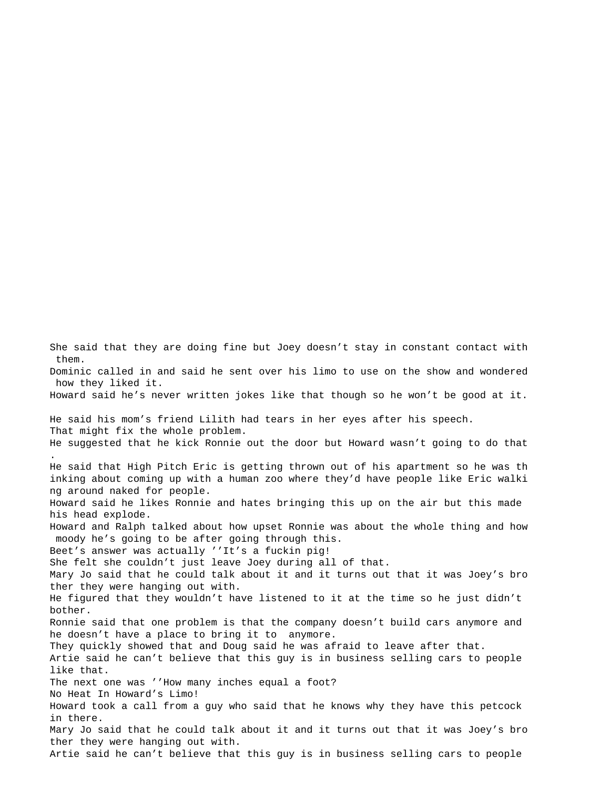She said that they are doing fine but Joey doesn't stay in constant contact with them. Dominic called in and said he sent over his limo to use on the show and wondered how they liked it. Howard said he's never written jokes like that though so he won't be good at it. He said his mom's friend Lilith had tears in her eyes after his speech. That might fix the whole problem. He suggested that he kick Ronnie out the door but Howard wasn't going to do that . He said that High Pitch Eric is getting thrown out of his apartment so he was th inking about coming up with a human zoo where they'd have people like Eric walki ng around naked for people. Howard said he likes Ronnie and hates bringing this up on the air but this made his head explode. Howard and Ralph talked about how upset Ronnie was about the whole thing and how moody he's going to be after going through this. Beet's answer was actually ''It's a fuckin pig! She felt she couldn't just leave Joey during all of that. Mary Jo said that he could talk about it and it turns out that it was Joey's bro ther they were hanging out with. He figured that they wouldn't have listened to it at the time so he just didn't bother. Ronnie said that one problem is that the company doesn't build cars anymore and he doesn't have a place to bring it to anymore. They quickly showed that and Doug said he was afraid to leave after that. Artie said he can't believe that this guy is in business selling cars to people like that. The next one was ''How many inches equal a foot? No Heat In Howard's Limo! Howard took a call from a guy who said that he knows why they have this petcock in there. Mary Jo said that he could talk about it and it turns out that it was Joey's bro ther they were hanging out with.

Artie said he can't believe that this guy is in business selling cars to people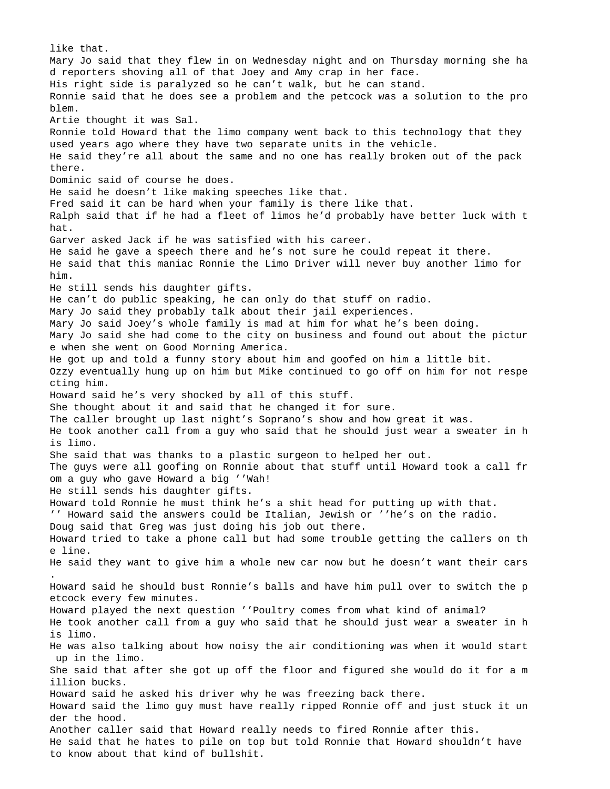like that. Mary Jo said that they flew in on Wednesday night and on Thursday morning she ha d reporters shoving all of that Joey and Amy crap in her face. His right side is paralyzed so he can't walk, but he can stand. Ronnie said that he does see a problem and the petcock was a solution to the pro blem. Artie thought it was Sal. Ronnie told Howard that the limo company went back to this technology that they used years ago where they have two separate units in the vehicle. He said they're all about the same and no one has really broken out of the pack there. Dominic said of course he does. He said he doesn't like making speeches like that. Fred said it can be hard when your family is there like that. Ralph said that if he had a fleet of limos he'd probably have better luck with t hat. Garver asked Jack if he was satisfied with his career. He said he gave a speech there and he's not sure he could repeat it there. He said that this maniac Ronnie the Limo Driver will never buy another limo for him. He still sends his daughter gifts. He can't do public speaking, he can only do that stuff on radio. Mary Jo said they probably talk about their jail experiences. Mary Jo said Joey's whole family is mad at him for what he's been doing. Mary Jo said she had come to the city on business and found out about the pictur e when she went on Good Morning America. He got up and told a funny story about him and goofed on him a little bit. Ozzy eventually hung up on him but Mike continued to go off on him for not respe cting him. Howard said he's very shocked by all of this stuff. She thought about it and said that he changed it for sure. The caller brought up last night's Soprano's show and how great it was. He took another call from a guy who said that he should just wear a sweater in h is limo. She said that was thanks to a plastic surgeon to helped her out. The guys were all goofing on Ronnie about that stuff until Howard took a call fr om a guy who gave Howard a big ''Wah! He still sends his daughter gifts. Howard told Ronnie he must think he's a shit head for putting up with that. '' Howard said the answers could be Italian, Jewish or ''he's on the radio. Doug said that Greg was just doing his job out there. Howard tried to take a phone call but had some trouble getting the callers on th e line. He said they want to give him a whole new car now but he doesn't want their cars . Howard said he should bust Ronnie's balls and have him pull over to switch the p etcock every few minutes. Howard played the next question ''Poultry comes from what kind of animal? He took another call from a guy who said that he should just wear a sweater in h is limo. He was also talking about how noisy the air conditioning was when it would start up in the limo. She said that after she got up off the floor and figured she would do it for a m illion bucks. Howard said he asked his driver why he was freezing back there. Howard said the limo guy must have really ripped Ronnie off and just stuck it un der the hood. Another caller said that Howard really needs to fired Ronnie after this. He said that he hates to pile on top but told Ronnie that Howard shouldn't have to know about that kind of bullshit.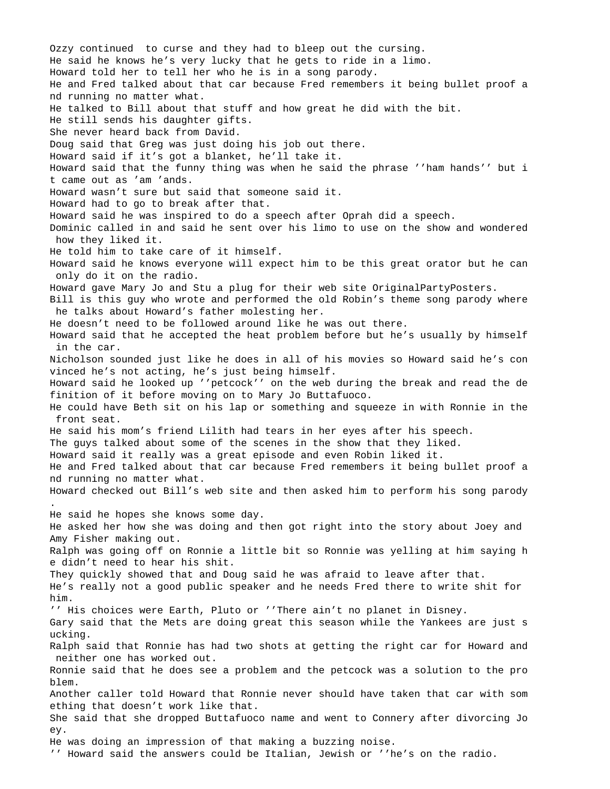Ozzy continued to curse and they had to bleep out the cursing. He said he knows he's very lucky that he gets to ride in a limo. Howard told her to tell her who he is in a song parody. He and Fred talked about that car because Fred remembers it being bullet proof a nd running no matter what. He talked to Bill about that stuff and how great he did with the bit. He still sends his daughter gifts. She never heard back from David. Doug said that Greg was just doing his job out there. Howard said if it's got a blanket, he'll take it. Howard said that the funny thing was when he said the phrase ''ham hands'' but i t came out as 'am 'ands. Howard wasn't sure but said that someone said it. Howard had to go to break after that. Howard said he was inspired to do a speech after Oprah did a speech. Dominic called in and said he sent over his limo to use on the show and wondered how they liked it. He told him to take care of it himself. Howard said he knows everyone will expect him to be this great orator but he can only do it on the radio. Howard gave Mary Jo and Stu a plug for their web site OriginalPartyPosters. Bill is this guy who wrote and performed the old Robin's theme song parody where he talks about Howard's father molesting her. He doesn't need to be followed around like he was out there. Howard said that he accepted the heat problem before but he's usually by himself in the car. Nicholson sounded just like he does in all of his movies so Howard said he's con vinced he's not acting, he's just being himself. Howard said he looked up ''petcock'' on the web during the break and read the de finition of it before moving on to Mary Jo Buttafuoco. He could have Beth sit on his lap or something and squeeze in with Ronnie in the front seat. He said his mom's friend Lilith had tears in her eyes after his speech. The guys talked about some of the scenes in the show that they liked. Howard said it really was a great episode and even Robin liked it. He and Fred talked about that car because Fred remembers it being bullet proof a nd running no matter what. Howard checked out Bill's web site and then asked him to perform his song parody . He said he hopes she knows some day. He asked her how she was doing and then got right into the story about Joey and Amy Fisher making out. Ralph was going off on Ronnie a little bit so Ronnie was yelling at him saying h e didn't need to hear his shit. They quickly showed that and Doug said he was afraid to leave after that. He's really not a good public speaker and he needs Fred there to write shit for him. '' His choices were Earth, Pluto or ''There ain't no planet in Disney. Gary said that the Mets are doing great this season while the Yankees are just s ucking. Ralph said that Ronnie has had two shots at getting the right car for Howard and neither one has worked out. Ronnie said that he does see a problem and the petcock was a solution to the pro blem. Another caller told Howard that Ronnie never should have taken that car with som ething that doesn't work like that. She said that she dropped Buttafuoco name and went to Connery after divorcing Jo ey. He was doing an impression of that making a buzzing noise.

'' Howard said the answers could be Italian, Jewish or ''he's on the radio.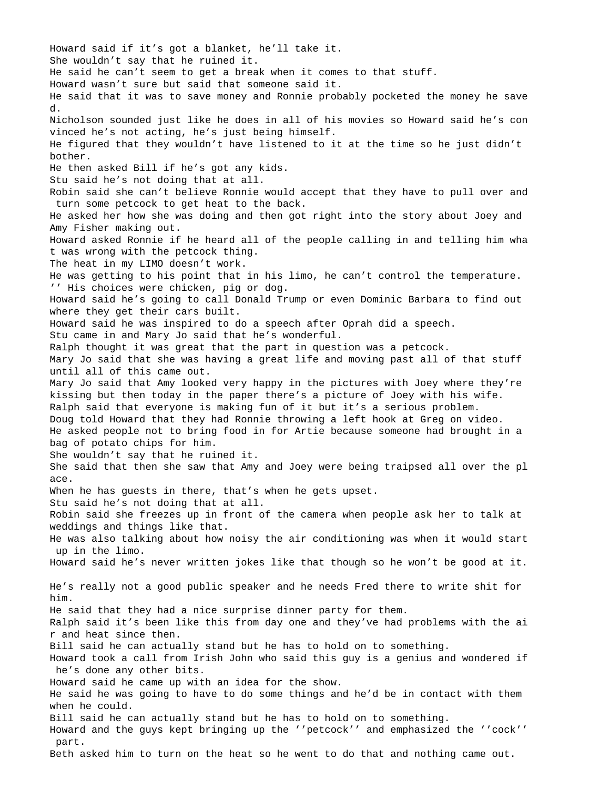Howard said if it's got a blanket, he'll take it. She wouldn't say that he ruined it. He said he can't seem to get a break when it comes to that stuff. Howard wasn't sure but said that someone said it. He said that it was to save money and Ronnie probably pocketed the money he save d. Nicholson sounded just like he does in all of his movies so Howard said he's con vinced he's not acting, he's just being himself. He figured that they wouldn't have listened to it at the time so he just didn't bother. He then asked Bill if he's got any kids. Stu said he's not doing that at all. Robin said she can't believe Ronnie would accept that they have to pull over and turn some petcock to get heat to the back. He asked her how she was doing and then got right into the story about Joey and Amy Fisher making out. Howard asked Ronnie if he heard all of the people calling in and telling him wha t was wrong with the petcock thing. The heat in my LIMO doesn't work. He was getting to his point that in his limo, he can't control the temperature. '' His choices were chicken, pig or dog. Howard said he's going to call Donald Trump or even Dominic Barbara to find out where they get their cars built. Howard said he was inspired to do a speech after Oprah did a speech. Stu came in and Mary Jo said that he's wonderful. Ralph thought it was great that the part in question was a petcock. Mary Jo said that she was having a great life and moving past all of that stuff until all of this came out. Mary Jo said that Amy looked very happy in the pictures with Joey where they're kissing but then today in the paper there's a picture of Joey with his wife. Ralph said that everyone is making fun of it but it's a serious problem. Doug told Howard that they had Ronnie throwing a left hook at Greg on video. He asked people not to bring food in for Artie because someone had brought in a bag of potato chips for him. She wouldn't say that he ruined it. She said that then she saw that Amy and Joey were being traipsed all over the pl ace. When he has guests in there, that's when he gets upset. Stu said he's not doing that at all. Robin said she freezes up in front of the camera when people ask her to talk at weddings and things like that. He was also talking about how noisy the air conditioning was when it would start up in the limo. Howard said he's never written jokes like that though so he won't be good at it. He's really not a good public speaker and he needs Fred there to write shit for him. He said that they had a nice surprise dinner party for them. Ralph said it's been like this from day one and they've had problems with the ai r and heat since then. Bill said he can actually stand but he has to hold on to something. Howard took a call from Irish John who said this guy is a genius and wondered if he's done any other bits. Howard said he came up with an idea for the show. He said he was going to have to do some things and he'd be in contact with them when he could. Bill said he can actually stand but he has to hold on to something. Howard and the guys kept bringing up the ''petcock'' and emphasized the ''cock'' part.

Beth asked him to turn on the heat so he went to do that and nothing came out.